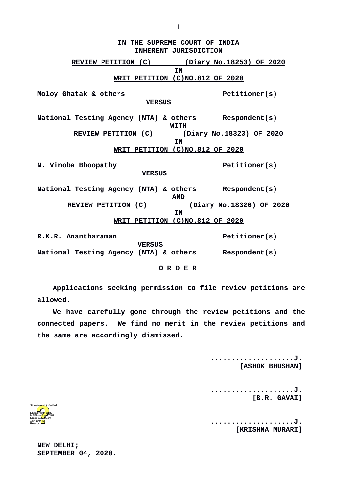**IN THE SUPREME COURT OF INDIA INHERENT JURISDICTION REVIEW PETITION (C) (Diary No.18253) OF 2020 IN WRIT PETITION (C)NO.812 OF 2020 Moloy Ghatak & others Petitioner(s) VERSUS National Testing Agency (NTA) & others Respondent(s) WITH REVIEW PETITION (C) (Diary No.18323) OF 2020 IN WRIT PETITION (C)NO.812 OF 2020 N. Vinoba Bhoopathy Petitioner(s) VERSUS National Testing Agency (NTA) & others Respondent(s) AND REVIEW PETITION (C) (Diary No.18326) OF 2020 IN WRIT PETITION (C)NO.812 OF 2020 R.K.R. Anantharaman Petitioner(s) VERSUS National Testing Agency (NTA) & others Respondent(s)**

## **O R D E R**

**Applications seeking permission to file review petitions are allowed.** 

**We have carefully gone through the review petitions and the connected papers. We find no merit in the review petitions and the same are accordingly dismissed.** 

> **....................J. [ASHOK BHUSHAN]**

**....................J. [B.R. GAVAI]**

**....................J. [KRISHNA MURARI]**

Digitally signed by MEENAK<mark>SH</mark>/KOHLI Date: 2020.09.07 15:41:49 IST Reason: Signature Not Verified

**NEW DELHI; SEPTEMBER 04, 2020.**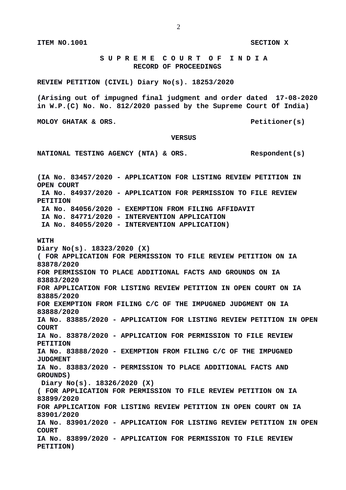**S U P R E M E C O U R T O F I N D I A RECORD OF PROCEEDINGS**

**REVIEW PETITION (CIVIL) Diary No(s). 18253/2020**

**(Arising out of impugned final judgment and order dated 17-08-2020 in W.P.(C) No. No. 812/2020 passed by the Supreme Court Of India)**

**MOLOY GHATAK & ORS.** Petitioner(s)

 **VERSUS**

NATIONAL TESTING AGENCY (NTA) & ORS. Respondent(s)

**(IA No. 83457/2020 - APPLICATION FOR LISTING REVIEW PETITION IN OPEN COURT IA No. 84937/2020 - APPLICATION FOR PERMISSION TO FILE REVIEW PETITION IA No. 84056/2020 - EXEMPTION FROM FILING AFFIDAVIT IA No. 84771/2020 - INTERVENTION APPLICATION IA No. 84055/2020 - INTERVENTION APPLICATION) WITH Diary No(s). 18323/2020 (X) ( FOR APPLICATION FOR PERMISSION TO FILE REVIEW PETITION ON IA 83878/2020 FOR PERMISSION TO PLACE ADDITIONAL FACTS AND GROUNDS ON IA 83883/2020 FOR APPLICATION FOR LISTING REVIEW PETITION IN OPEN COURT ON IA 83885/2020 FOR EXEMPTION FROM FILING C/C OF THE IMPUGNED JUDGMENT ON IA 83888/2020 IA No. 83885/2020 - APPLICATION FOR LISTING REVIEW PETITION IN OPEN COURT IA No. 83878/2020 - APPLICATION FOR PERMISSION TO FILE REVIEW PETITION IA No. 83888/2020 - EXEMPTION FROM FILING C/C OF THE IMPUGNED JUDGMENT IA No. 83883/2020 - PERMISSION TO PLACE ADDITIONAL FACTS AND GROUNDS) Diary No(s). 18326/2020 (X) ( FOR APPLICATION FOR PERMISSION TO FILE REVIEW PETITION ON IA 83899/2020 FOR APPLICATION FOR LISTING REVIEW PETITION IN OPEN COURT ON IA 83901/2020 IA No. 83901/2020 - APPLICATION FOR LISTING REVIEW PETITION IN OPEN COURT IA No. 83899/2020 - APPLICATION FOR PERMISSION TO FILE REVIEW PETITION)**